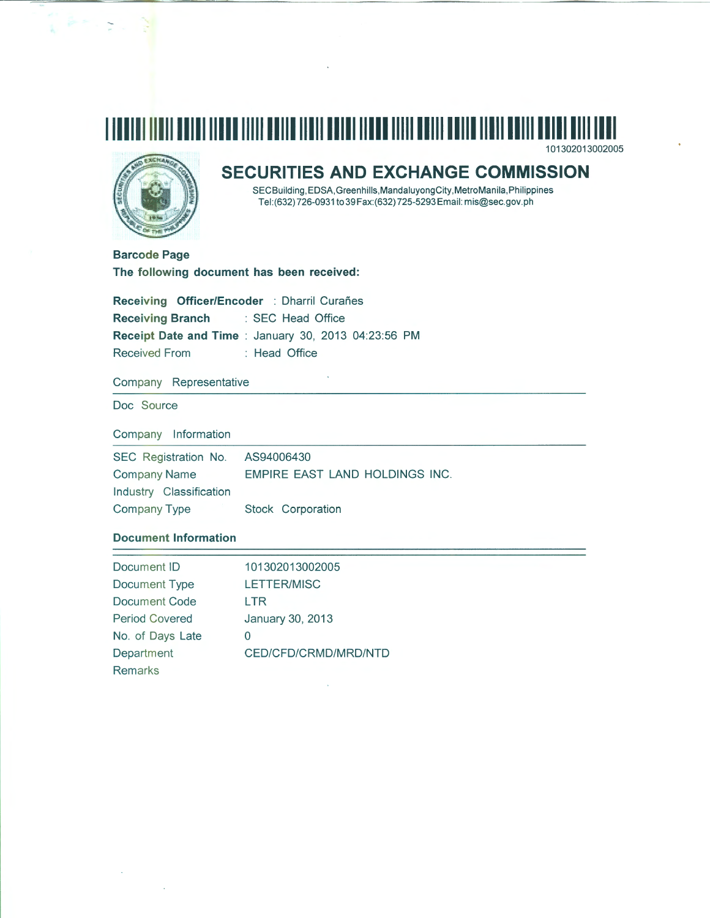## **111111 111 1111111111111111111111111111111111111111111111111111111111111111111111111111**  101302013002005



# **SECURITIES AND EXCHANGE COMMISSION**

SECBuilding,EDSA,Greenhills,MandaluyongCity,MetroManila,Philippines Tel:(632) 726-0931 to39 Fax:(632) 725-5293Email: mis@sec.gov.ph

**Barcode Page The following document has been received:** 

**Receiving Officer/Encoder** : Dharril Curañes **Receiving Branch** : SEC Head Office **Receipt Date and Time** : January 30, 2013 04:23:56 PM Received From : Head Office

Company Representative

Doc Source

Company Information

SEC Registration No. AS94006430 Company Name EMPIRE EAST LAND HOLDINGS INC. Industry Classification Company Type Stock Corporation

## **Document Information**

| Document ID           | 101302013002005      |
|-----------------------|----------------------|
| Document Type         | LETTER/MISC          |
| Document Code         | LTR                  |
| <b>Period Covered</b> | January 30, 2013     |
| No. of Days Late      | 0                    |
| Department            | CED/CFD/CRMD/MRD/NTD |
| <b>Remarks</b>        |                      |
|                       |                      |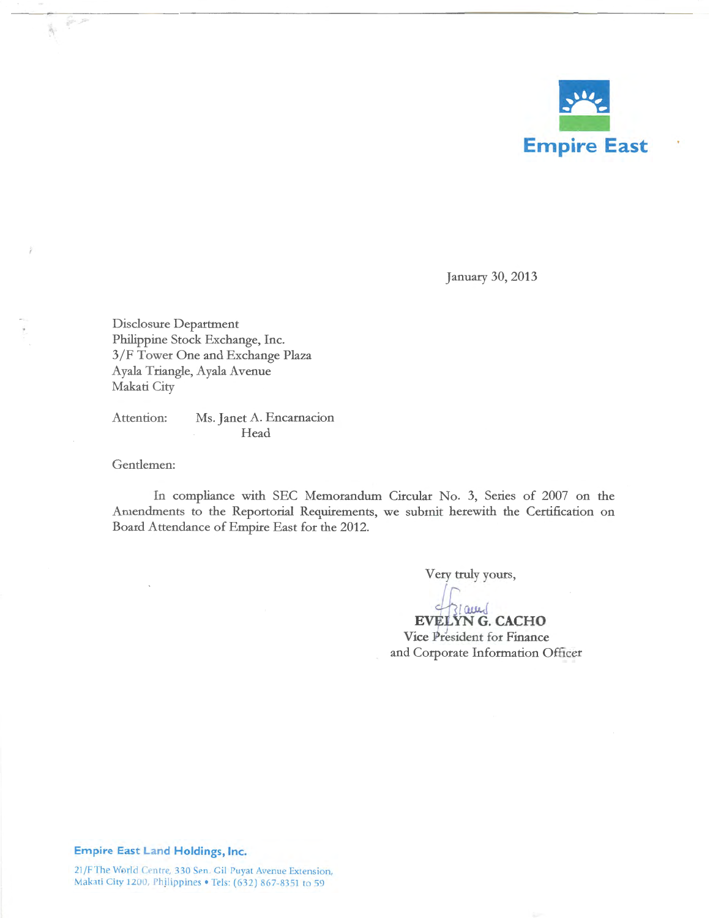

January 30, 2013

Disclosure Department Philippine Stock Exchange, Inc. 3/F Tower One and Exchange Plaza Ayala Triangle, Ayala Avenue Makati City

Attention: Ms. Janet A. Encarnacion Head

Gentlemen:

Ă.

In compliance with SEC Memorandum Circular No. 3, Series of 2007 on the Amendments to the Reportorial Requirements, we submit herewith the Certification on Board Attendance of Empire East for the 2012.

Very truly yours,

→<br>EVELYN G. CACHO<br>Vice President for Finance

and Corporate Information Officer

### **Empire East Land Holdings, Inc.**

21/F The World Centre, 330 Sen. Gil Puyat Avenue Extension, Makati City 1200, Philippines • Tels: (632) 867-8351 to 59